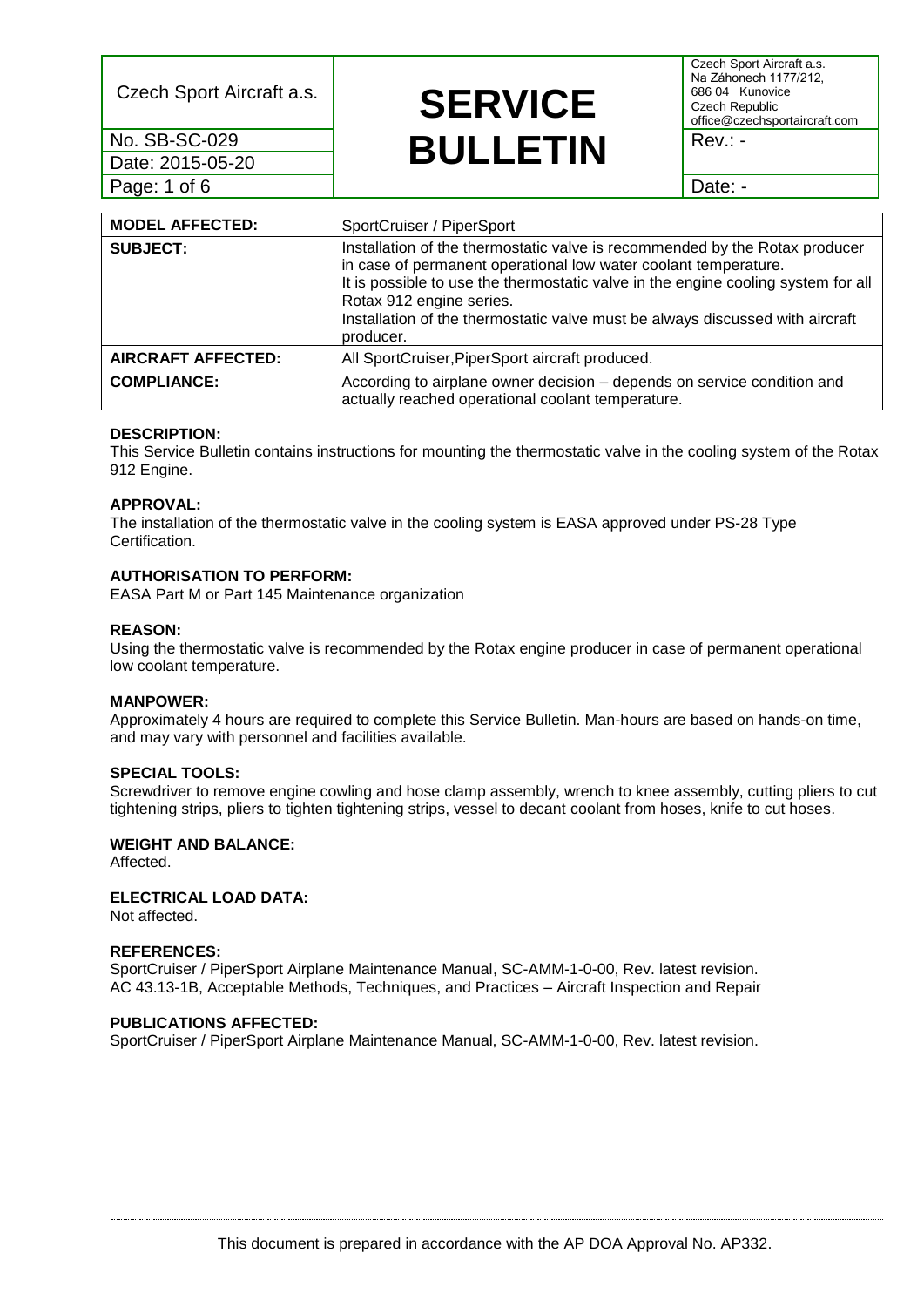Date: 2015-05-20 Page: 1 of 6 **Date: - Date: - Date: - Date: - Date: -**

# Czech Sport Aircraft a.s. **SERVICE No. SB-SC-029 BULLETIN** Rev.: -

Czech Sport Aircraft a.s. Na Záhonech 1177/212, 686 04 Kunovice Czech Republic office@czechsportaircraft.com

| <b>MODEL AFFECTED:</b>    | SportCruiser / PiperSport                                                                                                                                                                                                                                                                                                                                     |
|---------------------------|---------------------------------------------------------------------------------------------------------------------------------------------------------------------------------------------------------------------------------------------------------------------------------------------------------------------------------------------------------------|
| <b>SUBJECT:</b>           | Installation of the thermostatic valve is recommended by the Rotax producer<br>in case of permanent operational low water coolant temperature.<br>It is possible to use the thermostatic valve in the engine cooling system for all<br>Rotax 912 engine series.<br>Installation of the thermostatic valve must be always discussed with aircraft<br>producer. |
| <b>AIRCRAFT AFFECTED:</b> | All SportCruiser, PiperSport aircraft produced.                                                                                                                                                                                                                                                                                                               |
| <b>COMPLIANCE:</b>        | According to airplane owner decision - depends on service condition and<br>actually reached operational coolant temperature.                                                                                                                                                                                                                                  |

# **DESCRIPTION:**

This Service Bulletin contains instructions for mounting the thermostatic valve in the cooling system of the Rotax 912 Engine.

## **APPROVAL:**

The installation of the thermostatic valve in the cooling system is EASA approved under PS-28 Type Certification.

# **AUTHORISATION TO PERFORM:**

EASA Part M or Part 145 Maintenance organization

## **REASON:**

Using the thermostatic valve is recommended by the Rotax engine producer in case of permanent operational low coolant temperature.

#### **MANPOWER:**

Approximately 4 hours are required to complete this Service Bulletin. Man-hours are based on hands-on time, and may vary with personnel and facilities available.

# **SPECIAL TOOLS:**

Screwdriver to remove engine cowling and hose clamp assembly, wrench to knee assembly, cutting pliers to cut tightening strips, pliers to tighten tightening strips, vessel to decant coolant from hoses, knife to cut hoses.

# **WEIGHT AND BALANCE:**

Affected.

# **ELECTRICAL LOAD DATA:**

Not affected.

#### **REFERENCES:**

SportCruiser / PiperSport Airplane Maintenance Manual, SC-AMM-1-0-00, Rev. latest revision. AC 43.13-1B, Acceptable Methods, Techniques, and Practices – Aircraft Inspection and Repair

#### **PUBLICATIONS AFFECTED:**

SportCruiser / PiperSport Airplane Maintenance Manual, SC-AMM-1-0-00, Rev. latest revision.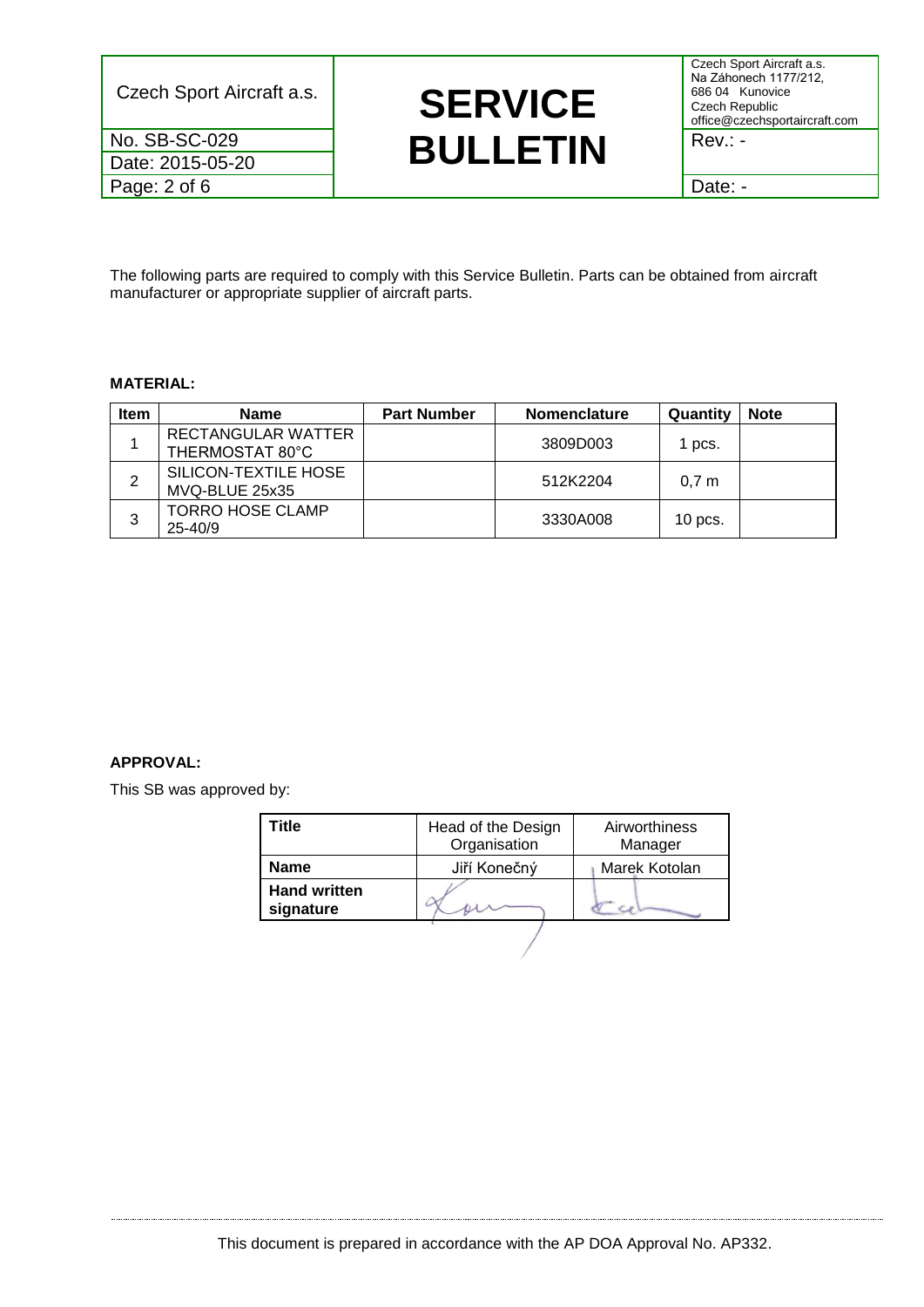Date: 2015-05-20

Czech Sport Aircraft a.s. **SERVICE No. SB-SC-029 BULLETIN** Rev.: -

Czech Sport Aircraft a.s. Na Záhonech 1177/212, 686 04 Kunovice Czech Republic office@czechsportaircraft.com

Page: 2 of 6 Date: -

The following parts are required to comply with this Service Bulletin. Parts can be obtained from aircraft manufacturer or appropriate supplier of aircraft parts.

# **MATERIAL:**

| <b>Item</b> | <b>Name</b>                            | <b>Part Number</b> | <b>Nomenclature</b> | Quantity         | <b>Note</b> |
|-------------|----------------------------------------|--------------------|---------------------|------------------|-------------|
|             | RECTANGULAR WATTER<br>THERMOSTAT 80°C  |                    | 3809D003            | 1 pcs.           |             |
| 2           | SILICON-TEXTILE HOSE<br>MVQ-BLUE 25x35 |                    | 512K2204            | 0.7 <sub>m</sub> |             |
| 3           | <b>TORRO HOSE CLAMP</b><br>$25 - 40/9$ |                    | 3330A008            | $10$ pcs.        |             |

# **APPROVAL:**

This SB was approved by:

| Title                            | Head of the Design<br>Organisation | Airworthiness<br>Manager |  |
|----------------------------------|------------------------------------|--------------------------|--|
| <b>Name</b>                      | Jiří Konečný                       | Marek Kotolan            |  |
| <b>Hand written</b><br>signature |                                    |                          |  |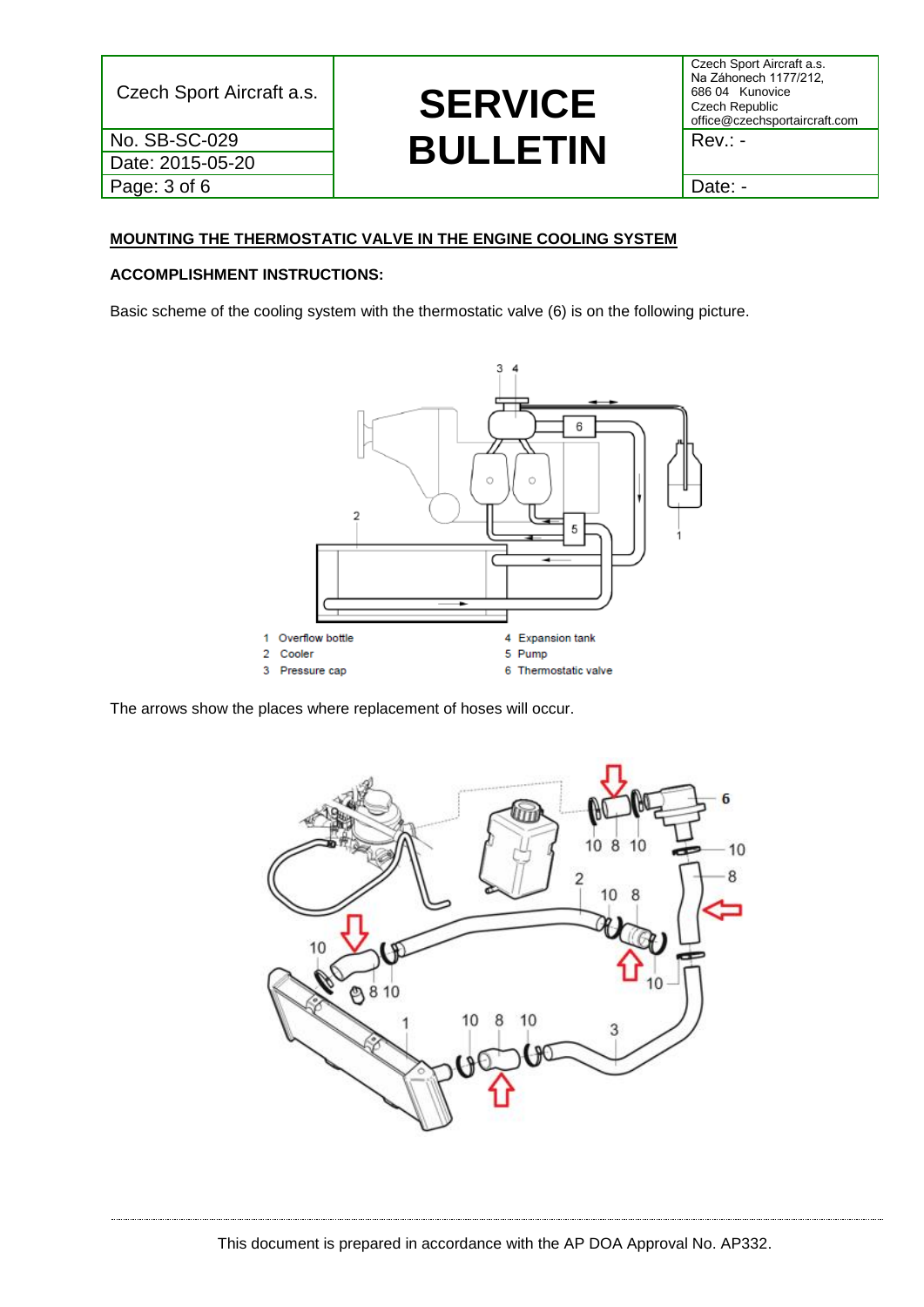Date: 2015-05-20 Page: 3 of 6 and 1 Date: -

# Czech Sport Aircraft a.s. **SERVICE No. SB-SC-029 BULLETIN** Rev.: -

Czech Sport Aircraft a.s. Na Záhonech 1177/212, 686 04 Kunovice Czech Republic office@czechsportaircraft.com

# **MOUNTING THE THERMOSTATIC VALVE IN THE ENGINE COOLING SYSTEM**

# **ACCOMPLISHMENT INSTRUCTIONS:**

Basic scheme of the cooling system with the thermostatic valve (6) is on the following picture.



The arrows show the places where replacement of hoses will occur.

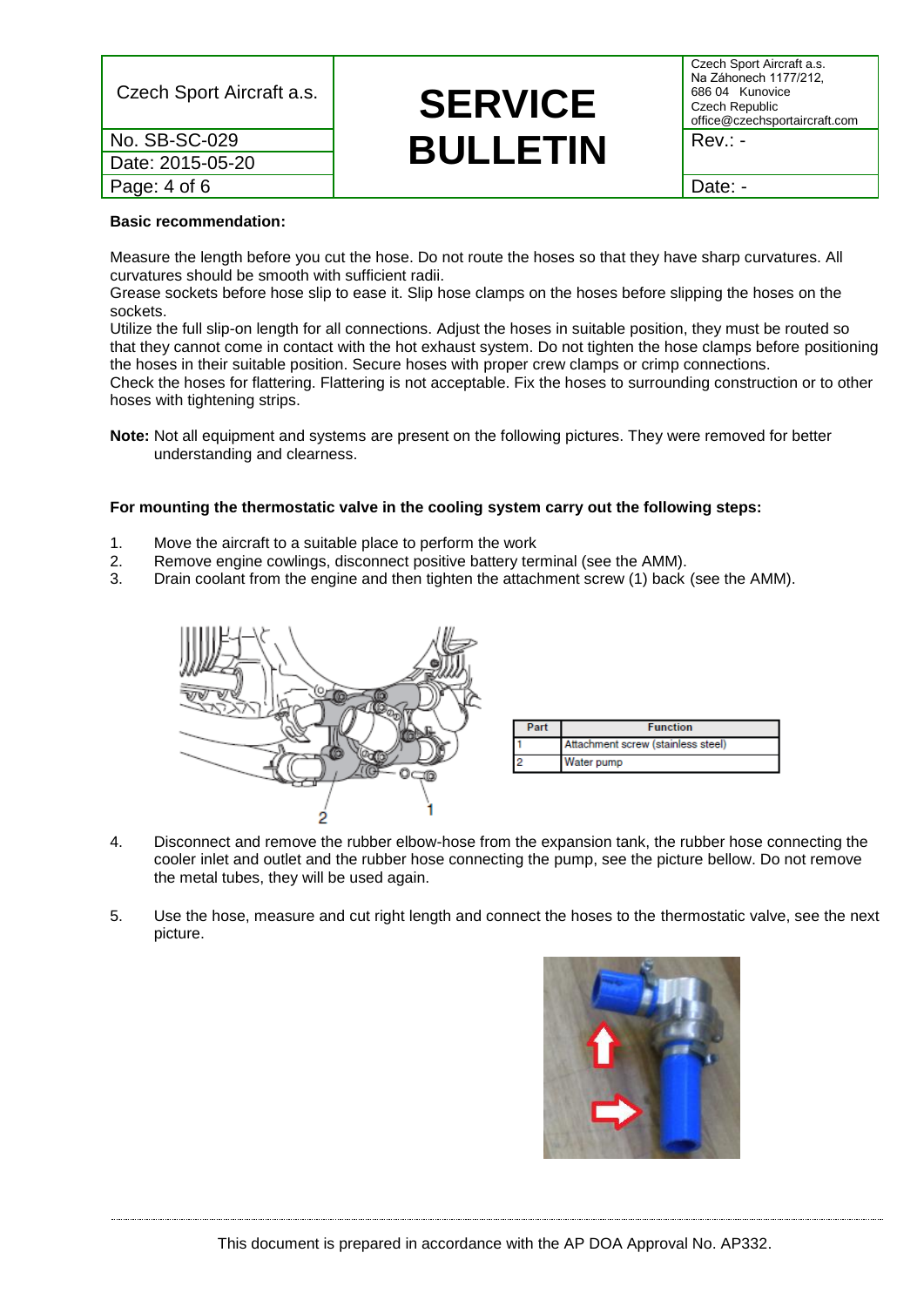| Czech Sport Aircraft a.s. | <b>SERVICE</b>  | Na Záhone<br>686 04 K<br>Czech Rep<br>office@cze |
|---------------------------|-----------------|--------------------------------------------------|
| No. SB-SC-029             | <b>BULLETIN</b> | Rev.: -                                          |
| Date: 2015-05-20          |                 |                                                  |
| Page: 4 of 6              |                 | Date: -                                          |

# **SERVICE**

Czech Sport Aircraft a.s. Na Záhonech 1177/212, 686 04 Kunovice Czech Republic office@czechsportaircraft.com

## **Basic recommendation:**

Measure the length before you cut the hose. Do not route the hoses so that they have sharp curvatures. All curvatures should be smooth with sufficient radii.

Grease sockets before hose slip to ease it. Slip hose clamps on the hoses before slipping the hoses on the sockets.

Utilize the full slip-on length for all connections. Adjust the hoses in suitable position, they must be routed so that they cannot come in contact with the hot exhaust system. Do not tighten the hose clamps before positioning the hoses in their suitable position. Secure hoses with proper crew clamps or crimp connections. Check the hoses for flattering. Flattering is not acceptable. Fix the hoses to surrounding construction or to other hoses with tightening strips.

**Note:** Not all equipment and systems are present on the following pictures. They were removed for better understanding and clearness.

## **For mounting the thermostatic valve in the cooling system carry out the following steps:**

- 1. Move the aircraft to a suitable place to perform the work
- 2. Remove engine cowlings, disconnect positive battery terminal (see the AMM).
- 3. Drain coolant from the engine and then tighten the attachment screw (1) back (see the AMM).



- 4. Disconnect and remove the rubber elbow-hose from the expansion tank, the rubber hose connecting the cooler inlet and outlet and the rubber hose connecting the pump, see the picture bellow. Do not remove the metal tubes, they will be used again.
- 5. Use the hose, measure and cut right length and connect the hoses to the thermostatic valve, see the next picture.

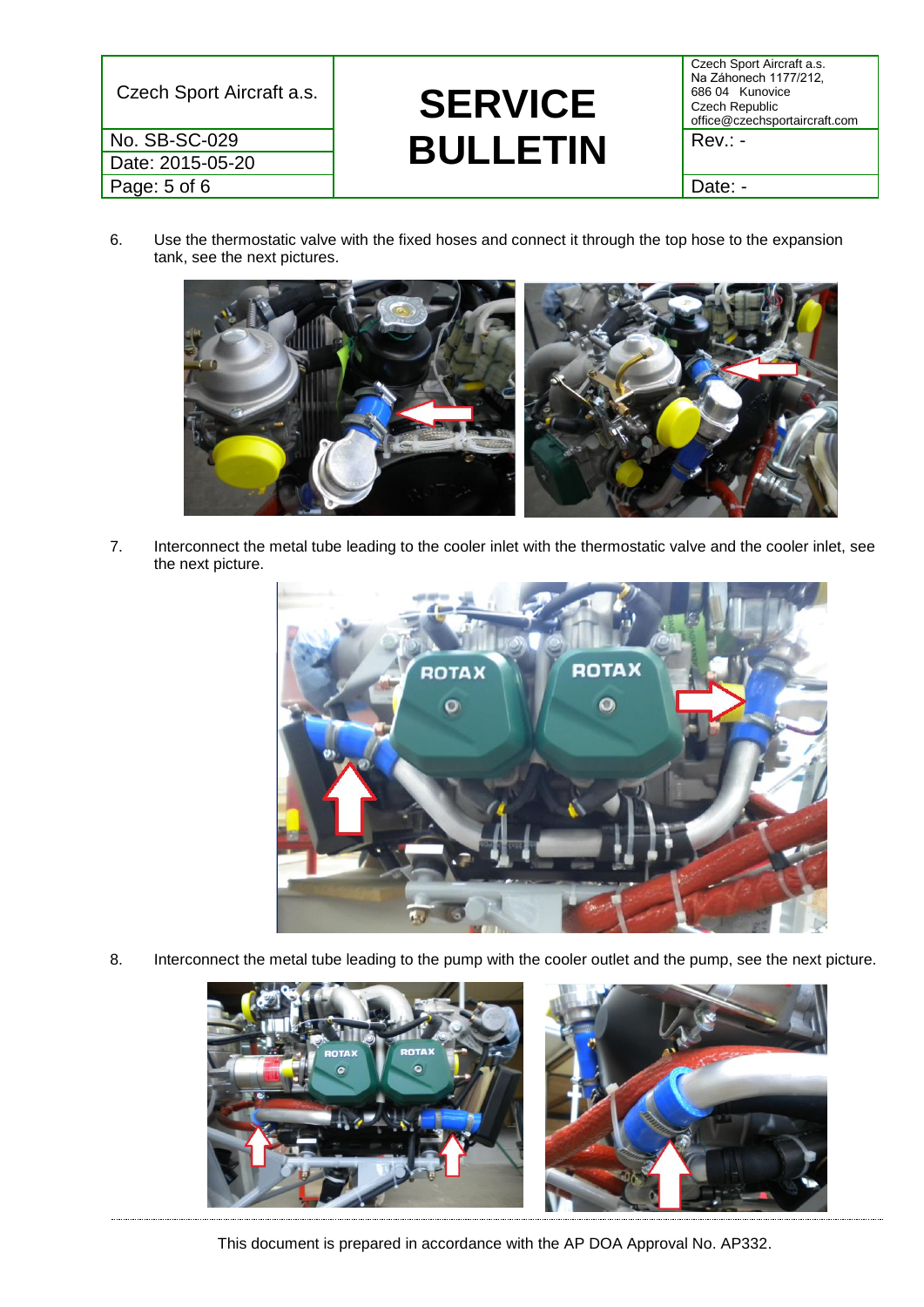Date: 2015-05-20 Page: 5 of 6 **Date: - Date: - Date: - Date: - Date: -**

# Czech Sport Aircraft a.s. **SERVICE No. SB-SC-029 BULLETIN** Rev.: -

Czech Sport Aircraft a.s. Na Záhonech 1177/212, 686 04 Kunovice Czech Republic office@czechsportaircraft.com

6. Use the thermostatic valve with the fixed hoses and connect it through the top hose to the expansion tank, see the next pictures.



7. Interconnect the metal tube leading to the cooler inlet with the thermostatic valve and the cooler inlet, see the next picture.



8. Interconnect the metal tube leading to the pump with the cooler outlet and the pump, see the next picture.



This document is prepared in accordance with the AP DOA Approval No. AP332.